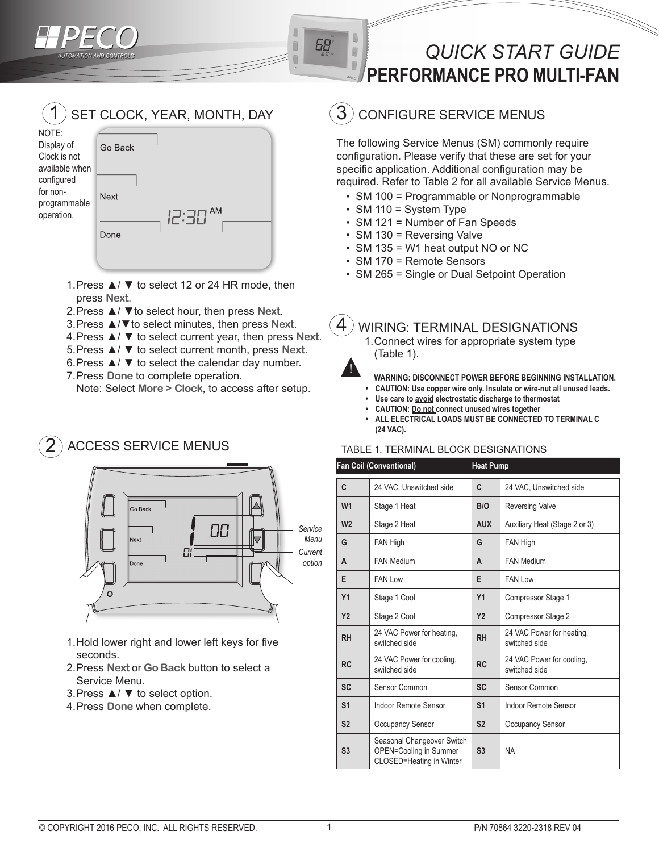

68

# *QUICK START GUIDE*  **PERFORMANCE PRO MULTI-FAN**

### SET CLOCK, YEAR, MONTH, DAY 1 NOTE: Display of Go Back Clock is not available when configured for non-Next programmable operation. Done

- 1.Press ▲/ ▼ to select 12 or 24 HR mode, then press **Next**.
- 2.Press ▲/ ▼to select hour, then press **Next**.
- 3.Press ▲/▼to select minutes, then press **Next**.
- 4.Press ▲/ ▼ to select current year, then press **Next**.
- 5.Press ▲/ ▼ to select current month, press **Next**.
- 6. Press  $\triangle$  /  $\blacktriangledown$  to select the calendar day number.
- 7.Press **Done** to complete operation.

Note: Select **More > Clock**, to access after setup.

### ACCESS SERVICE MENUS 2



- 1.Hold lower right and lower left keys for five seconds.
- 2.Press **Next** or **Go Back** button to select a Service Menu.
- 3.Press ▲/ ▼ to select option.
- 4.Press **Done** when complete.

## CONFIGURE SERVICE MENUS

The following Service Menus (SM) commonly require configuration. Please verify that these are set for your specific application. Additional configuration may be required. Refer to Table 2 for all available Service Menus.

- SM 100 = Programmable or Nonprogrammable
- SM 110 = System Type
- SM 121 = Number of Fan Speeds
- SM 130 = Reversing Valve
- SM 135 = W1 heat output NO or NC
- SM 170 = Remote Sensors
- SM 265 = Single or Dual Setpoint Operation

#### WIRING: TERMINAL DESIGNATIONS 4

1.Connect wires for appropriate system type (Table 1).



- **WARNING: DISCONNECT POWER BEFORE BEGINNING INSTALLATION.**
- **• CAUTION: Use copper wire only. Insulate or wire-nut all unused leads. • Use care to avoid electrostatic discharge to thermostat**
- **CAUTION: Do not connect unused wires together**
- ALL ELECTRICAL LOADS MUST BE CONNECTED TO TERMINAL C **(24 VAC).**

## TABLE 1. TERMINAL BLOCK DESIGNATIONS

| <b>Fan Coil (Conventional)</b> |                                                                                  | <b>Heat Pump</b> |                                            |
|--------------------------------|----------------------------------------------------------------------------------|------------------|--------------------------------------------|
| C                              | 24 VAC, Unswitched side                                                          | C                | 24 VAC, Unswitched side                    |
| W <sub>1</sub>                 | Stage 1 Heat                                                                     | B/O              | <b>Reversing Valve</b>                     |
| W <sub>2</sub>                 | Stage 2 Heat                                                                     | <b>AUX</b>       | Auxiliary Heat (Stage 2 or 3)              |
| G                              | FAN High                                                                         | G                | FAN High                                   |
| A                              | <b>FAN Medium</b>                                                                | A                | <b>FAN Medium</b>                          |
| E                              | <b>FAN Low</b>                                                                   | E                | <b>FAN Low</b>                             |
| Y1                             | Stage 1 Cool                                                                     | Y1               | Compressor Stage 1                         |
| <b>Y2</b>                      | Stage 2 Cool                                                                     | <b>Y2</b>        | Compressor Stage 2                         |
| <b>RH</b>                      | 24 VAC Power for heating,<br>switched side                                       | <b>RH</b>        | 24 VAC Power for heating.<br>switched side |
| <b>RC</b>                      | 24 VAC Power for cooling,<br>switched side                                       | <b>RC</b>        | 24 VAC Power for cooling.<br>switched side |
| <b>SC</b>                      | Sensor Common                                                                    | <b>SC</b>        | Sensor Common                              |
| S <sub>1</sub>                 | Indoor Remote Sensor                                                             | S <sub>1</sub>   | Indoor Remote Sensor                       |
| S <sub>2</sub>                 | Occupancy Sensor                                                                 | S <sub>2</sub>   | <b>Occupancy Sensor</b>                    |
| S <sub>3</sub>                 | Seasonal Changeover Switch<br>OPEN=Cooling in Summer<br>CLOSED=Heating in Winter | S <sub>3</sub>   | <b>NA</b>                                  |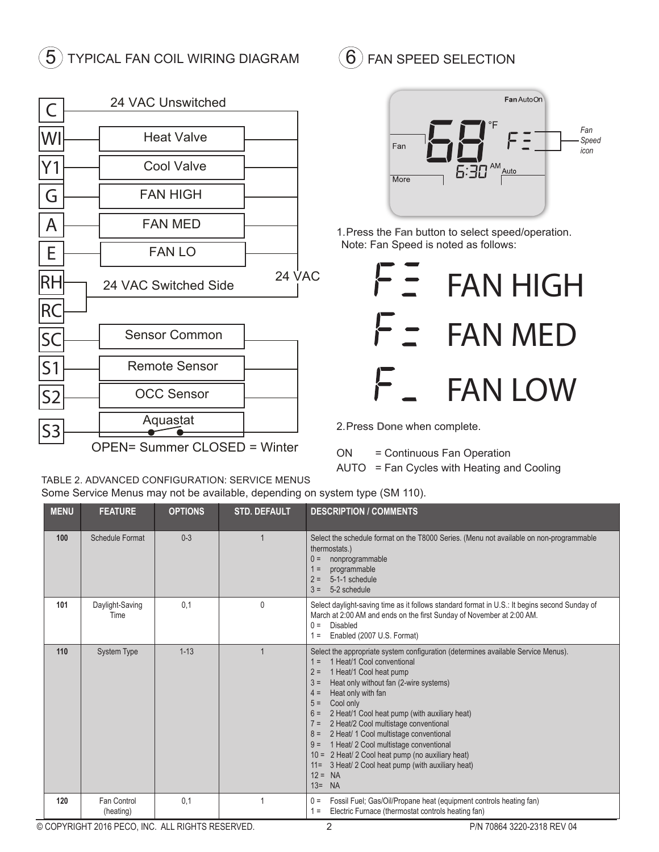# $\ket{5}$  TYPICAL FAN COIL WIRING DIAGRAM  $\ket{6}$

| C              | 24 VAC Unswitched                   |               |  |
|----------------|-------------------------------------|---------------|--|
|                |                                     |               |  |
| WI             | <b>Heat Valve</b>                   |               |  |
| Υ1             | <b>Cool Valve</b>                   |               |  |
| G              | <b>FAN HIGH</b>                     |               |  |
| A              | <b>FAN MED</b>                      |               |  |
| E              | <b>FAN LO</b>                       |               |  |
|                | 24 VAC Switched Side                | <b>24 VAC</b> |  |
| RC             |                                     |               |  |
| SC             | <b>Sensor Common</b>                |               |  |
| S <sub>1</sub> | <b>Remote Sensor</b>                |               |  |
| S2             | <b>OCC Sensor</b>                   |               |  |
|                | Aquastat                            |               |  |
|                | <b>OPEN= Summer CLOSED = Winter</b> |               |  |

FAN SPEED SELECTION



1.Press the **Fan** button to select speed/operation. Note: Fan Speed is noted as follows:



2.Press **Done** when complete.

ON = Continuous Fan Operation AUTO = Fan Cycles with Heating and Cooling

TABLE 2. ADVANCED CONFIGURATION: SERVICE MENUS Some Service Menus may not be available, depending on system type (SM 110).

| <b>MENU</b> | <b>FEATURE</b>           | <b>OPTIONS</b> | <b>STD. DEFAULT</b> | <b>DESCRIPTION / COMMENTS</b>                                                                                                                                                                                                                                                                                                                                                                                                                                                                                                                                                                                                              |
|-------------|--------------------------|----------------|---------------------|--------------------------------------------------------------------------------------------------------------------------------------------------------------------------------------------------------------------------------------------------------------------------------------------------------------------------------------------------------------------------------------------------------------------------------------------------------------------------------------------------------------------------------------------------------------------------------------------------------------------------------------------|
| 100         | Schedule Format          | $0 - 3$        |                     | Select the schedule format on the T8000 Series. (Menu not available on non-programmable<br>thermostats.)<br>nonprogrammable<br>$0 =$<br>$1 =$<br>programmable<br>5-1-1 schedule<br>$2 =$<br>5-2 schedule<br>$3 =$                                                                                                                                                                                                                                                                                                                                                                                                                          |
| 101         | Daylight-Saving<br>Time  | 0.1            | $\Omega$            | Select daylight-saving time as it follows standard format in U.S.: It begins second Sunday of<br>March at 2:00 AM and ends on the first Sunday of November at 2:00 AM.<br>$0 =$<br>Disabled<br>Enabled (2007 U.S. Format)<br>$1 =$                                                                                                                                                                                                                                                                                                                                                                                                         |
| 110         | <b>System Type</b>       | $1 - 13$       |                     | Select the appropriate system configuration (determines available Service Menus).<br>1 Heat/1 Cool conventional<br>$1 =$<br>$2 =$<br>1 Heat/1 Cool heat pump<br>$3 =$<br>Heat only without fan (2-wire systems)<br>Heat only with fan<br>$4 =$<br>$5 =$<br>Cool only<br>$6 =$<br>2 Heat/1 Cool heat pump (with auxiliary heat)<br>2 Heat/2 Cool multistage conventional<br>$7 =$<br>2 Heat/ 1 Cool multistage conventional<br>$8 =$<br>1 Heat/ 2 Cool multistage conventional<br>$9 =$<br>10 = 2 Heat/ 2 Cool heat pump (no auxiliary heat)<br>3 Heat/ 2 Cool heat pump (with auxiliary heat)<br>$11 =$<br>$12 = NA$<br>$13=$<br><b>NA</b> |
| 120         | Fan Control<br>(heating) | 0.1            | 1                   | Fossil Fuel; Gas/Oil/Propane heat (equipment controls heating fan)<br>$0 =$<br>Electric Furnace (thermostat controls heating fan)<br>$1 =$                                                                                                                                                                                                                                                                                                                                                                                                                                                                                                 |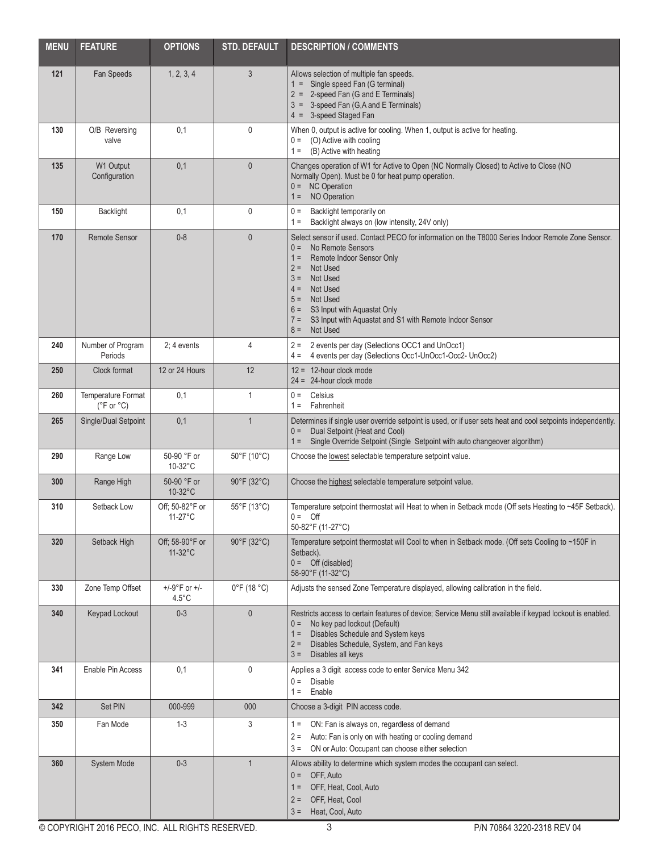| <b>MENU</b> | <b>FEATURE</b>                                     | <b>OPTIONS</b>                               | <b>STD. DEFAULT</b>              | <b>DESCRIPTION / COMMENTS</b>                                                                                                                                                                                                                                                                                                                                                                   |  |
|-------------|----------------------------------------------------|----------------------------------------------|----------------------------------|-------------------------------------------------------------------------------------------------------------------------------------------------------------------------------------------------------------------------------------------------------------------------------------------------------------------------------------------------------------------------------------------------|--|
| 121         | Fan Speeds                                         | 1, 2, 3, 4                                   | 3                                | Allows selection of multiple fan speeds.<br>1 = Single speed Fan (G terminal)<br>2 = 2-speed Fan (G and E Terminals)<br>3 = 3-speed Fan (G,A and E Terminals)<br>4 = 3-speed Staged Fan                                                                                                                                                                                                         |  |
| 130         | O/B Reversing<br>valve                             | 0,1                                          | 0                                | When 0, output is active for cooling. When 1, output is active for heating.<br>$0 =$ (O) Active with cooling<br>$1 = (B)$ Active with heating                                                                                                                                                                                                                                                   |  |
| 135         | W1 Output<br>Configuration                         | 0,1                                          | $\mathbf{0}$                     | Changes operation of W1 for Active to Open (NC Normally Closed) to Active to Close (NO<br>Normally Open). Must be 0 for heat pump operation.<br>$0 = NC$ Operation<br>NO Operation<br>$1 =$                                                                                                                                                                                                     |  |
| 150         | <b>Backlight</b>                                   | 0,1                                          | 0                                | Backlight temporarily on<br>$0 =$<br>Backlight always on (low intensity, 24V only)<br>$1 =$                                                                                                                                                                                                                                                                                                     |  |
| 170         | <b>Remote Sensor</b>                               | $0 - 8$                                      | $\mathbf{0}$                     | Select sensor if used. Contact PECO for information on the T8000 Series Indoor Remote Zone Sensor.<br>No Remote Sensors<br>$0 =$<br>Remote Indoor Sensor Only<br>$1 =$<br>$2 =$<br>Not Used<br>$3 =$<br><b>Not Used</b><br>Not Used<br>$4 =$<br>$5 =$ Not Used<br>S3 Input with Aquastat Only<br>$6 =$<br>S3 Input with Aquastat and S1 with Remote Indoor Sensor<br>$7 =$<br>Not Used<br>$8 =$ |  |
| 240         | Number of Program<br>Periods                       | $2:4$ events                                 | 4                                | 2 events per day (Selections OCC1 and UnOcc1)<br>$2 =$<br>4 events per day (Selections Occ1-UnOcc1-Occ2- UnOcc2)<br>$4 =$                                                                                                                                                                                                                                                                       |  |
| 250         | Clock format                                       | 12 or 24 Hours                               | 12                               | $12 = 12$ -hour clock mode<br>$24 = 24$ -hour clock mode                                                                                                                                                                                                                                                                                                                                        |  |
| 260         | Temperature Format<br>$(^{\circ}F$ or $^{\circ}C)$ | 0,1                                          | 1                                | $0 =$ Celsius<br>$1 =$ Fahrenheit                                                                                                                                                                                                                                                                                                                                                               |  |
| 265         | Single/Dual Setpoint                               | 0,1                                          | 1                                | Determines if single user override setpoint is used, or if user sets heat and cool setpoints independently.<br>Dual Setpoint (Heat and Cool)<br>$0 =$<br>Single Override Setpoint (Single Setpoint with auto changeover algorithm)<br>$1 =$                                                                                                                                                     |  |
| 290         | Range Low                                          | 50-90 °F or<br>10-32°C                       | 50°F (10°C)                      | Choose the lowest selectable temperature setpoint value.                                                                                                                                                                                                                                                                                                                                        |  |
| 300         | Range High                                         | 50-90 °F or<br>10-32°C                       | 90°F (32°C)                      | Choose the highest selectable temperature setpoint value.                                                                                                                                                                                                                                                                                                                                       |  |
| 310         | Setback Low                                        | Off; 50-82°F or<br>$11-27$ °C                | $55^{\circ}$ F (13 $^{\circ}$ C) | Temperature setpoint thermostat will Heat to when in Setback mode (Off sets Heating to ~45F Setback).<br>$0 = \text{Off}$<br>50-82°F (11-27°C)                                                                                                                                                                                                                                                  |  |
| 320         | Setback High                                       | Off; 58-90°F or<br>$11-32$ °C                | 90°F (32°C)                      | Temperature setpoint thermostat will Cool to when in Setback mode. (Off sets Cooling to ~150F in<br>Setback).<br>$0 =$ Off (disabled)<br>58-90°F (11-32°C)                                                                                                                                                                                                                                      |  |
| 330         | Zone Temp Offset                                   | $+/-9^{\circ}$ F or $+/-$<br>$4.5^{\circ}$ C | $0^{\circ}$ F (18 $^{\circ}$ C)  | Adjusts the sensed Zone Temperature displayed, allowing calibration in the field.                                                                                                                                                                                                                                                                                                               |  |
| 340         | Keypad Lockout                                     | $0 - 3$                                      | $\mathbf 0$                      | Restricts access to certain features of device; Service Menu still available if keypad lockout is enabled.<br>No key pad lockout (Default)<br>$0 =$<br>Disables Schedule and System keys<br>$1 =$<br>Disables Schedule, System, and Fan keys<br>$2 =$<br>$3 =$ Disables all keys                                                                                                                |  |
| 341         | Enable Pin Access                                  | 0,1                                          | 0                                | Applies a 3 digit access code to enter Service Menu 342<br>$0 =$ Disable<br>Enable<br>$1 =$                                                                                                                                                                                                                                                                                                     |  |
| 342         | Set PIN                                            | 000-999                                      | 000                              | Choose a 3-digit PIN access code.                                                                                                                                                                                                                                                                                                                                                               |  |
| 350         | Fan Mode                                           | $1 - 3$                                      | 3                                | ON: Fan is always on, regardless of demand<br>$1 =$<br>Auto: Fan is only on with heating or cooling demand<br>$2 =$<br>ON or Auto: Occupant can choose either selection<br>$3 =$                                                                                                                                                                                                                |  |
| 360         | System Mode                                        | $0 - 3$                                      | 1                                | Allows ability to determine which system modes the occupant can select.<br>OFF, Auto<br>$0 =$<br>OFF, Heat, Cool, Auto<br>$1 =$<br>OFF, Heat, Cool<br>$2 =$<br>$3 =$ Heat, Cool, Auto                                                                                                                                                                                                           |  |